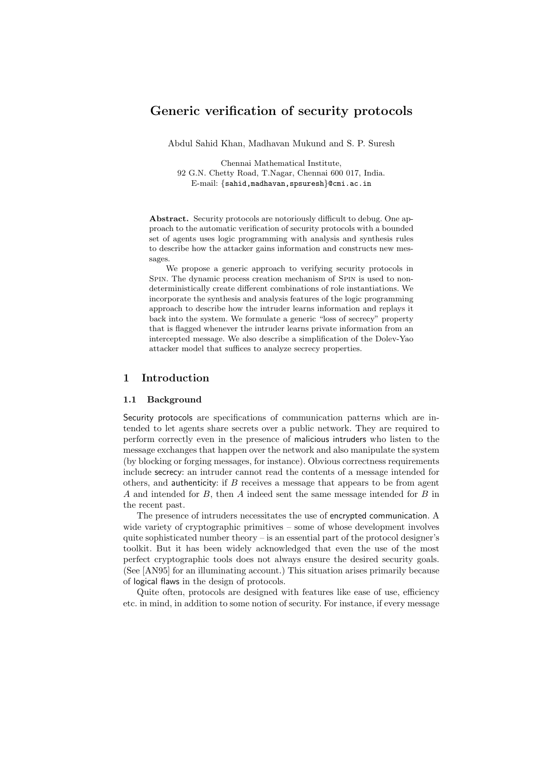# Generic verification of security protocols

Abdul Sahid Khan, Madhavan Mukund and S. P. Suresh

Chennai Mathematical Institute, 92 G.N. Chetty Road, T.Nagar, Chennai 600 017, India. E-mail: {sahid,madhavan,spsuresh}@cmi.ac.in

Abstract. Security protocols are notoriously difficult to debug. One approach to the automatic verification of security protocols with a bounded set of agents uses logic programming with analysis and synthesis rules to describe how the attacker gains information and constructs new messages.

We propose a generic approach to verifying security protocols in SPIN. The dynamic process creation mechanism of SPIN is used to nondeterministically create different combinations of role instantiations. We incorporate the synthesis and analysis features of the logic programming approach to describe how the intruder learns information and replays it back into the system. We formulate a generic "loss of secrecy" property that is flagged whenever the intruder learns private information from an intercepted message. We also describe a simplification of the Dolev-Yao attacker model that suffices to analyze secrecy properties.

# 1 Introduction

#### 1.1 Background

Security protocols are specifications of communication patterns which are intended to let agents share secrets over a public network. They are required to perform correctly even in the presence of malicious intruders who listen to the message exchanges that happen over the network and also manipulate the system (by blocking or forging messages, for instance). Obvious correctness requirements include secrecy: an intruder cannot read the contents of a message intended for others, and authenticity: if  $B$  receives a message that appears to be from agent A and intended for B, then A indeed sent the same message intended for B in the recent past.

The presence of intruders necessitates the use of encrypted communication. A wide variety of cryptographic primitives – some of whose development involves quite sophisticated number theory  $-$  is an essential part of the protocol designer's toolkit. But it has been widely acknowledged that even the use of the most perfect cryptographic tools does not always ensure the desired security goals. (See [AN95] for an illuminating account.) This situation arises primarily because of logical flaws in the design of protocols.

Quite often, protocols are designed with features like ease of use, efficiency etc. in mind, in addition to some notion of security. For instance, if every message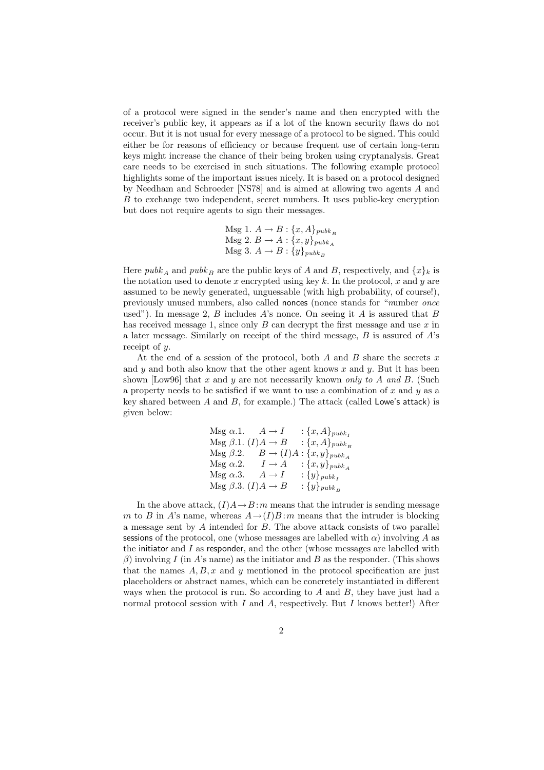of a protocol were signed in the sender's name and then encrypted with the receiver's public key, it appears as if a lot of the known security flaws do not occur. But it is not usual for every message of a protocol to be signed. This could either be for reasons of efficiency or because frequent use of certain long-term keys might increase the chance of their being broken using cryptanalysis. Great care needs to be exercised in such situations. The following example protocol highlights some of the important issues nicely. It is based on a protocol designed by Needham and Schroeder [NS78] and is aimed at allowing two agents A and B to exchange two independent, secret numbers. It uses public-key encryption but does not require agents to sign their messages.

$$
\begin{aligned} \text{Msg 1. } A &\rightarrow B: \{x, A\}_{pubk_B} \\ \text{Msg 2. } B &\rightarrow A: \{x, y\}_{pubk_A} \\ \text{Msg 3. } A &\rightarrow B: \{y\}_{pubk_B} \end{aligned}
$$

Here public  $\mu b k_A$  and public keys of A and B, respectively, and  $\{x\}_k$  is the notation used to denote  $x$  encrypted using key  $k$ . In the protocol,  $x$  and  $y$  are assumed to be newly generated, unguessable (with high probability, of course!), previously unused numbers, also called nonces (nonce stands for "number once used"). In message 2,  $B$  includes  $A$ 's nonce. On seeing it  $A$  is assured that  $B$ has received message 1, since only  $B$  can decrypt the first message and use  $x$  in a later message. Similarly on receipt of the third message,  $B$  is assured of  $A$ 's receipt of y.

At the end of a session of the protocol, both  $A$  and  $B$  share the secrets  $x$ and y and both also know that the other agent knows x and y. But it has been shown [Low96] that x and y are not necessarily known only to A and B. (Such a property needs to be satisfied if we want to use a combination of  $x$  and  $y$  as a key shared between  $A$  and  $B$ , for example.) The attack (called Lowe's attack) is given below:

$$
\begin{array}{ll}\n\text{Msg }\alpha.1. & A \rightarrow I & : \{x, A\}_{pubk_I} \\
\text{Msg }\beta.1. & (I)A \rightarrow B & : \{x, A\}_{pubk_B} \\
\text{Msg }\beta.2. & B \rightarrow (I)A : \{x, y\}_{pubk_A} \\
\text{Msg }\alpha.2. & I \rightarrow A & : \{x, y\}_{pubk_A} \\
\text{Msg }\alpha.3. & A \rightarrow I & : \{y\}_{pubk_I} \\
\text{Msg }\beta.3. & (I)A \rightarrow B & : \{y\}_{pubk_B}\n\end{array}
$$

In the above attack,  $(I)A \rightarrow B$ : m means that the intruder is sending message m to B in A's name, whereas  $A \rightarrow (I)B$ : m means that the intruder is blocking a message sent by A intended for B. The above attack consists of two parallel sessions of the protocol, one (whose messages are labelled with  $\alpha$ ) involving A as the initiator and  $I$  as responder, and the other (whose messages are labelled with  $\beta$ ) involving I (in A's name) as the initiator and B as the responder. (This shows that the names  $A, B, x$  and y mentioned in the protocol specification are just placeholders or abstract names, which can be concretely instantiated in different ways when the protocol is run. So according to  $A$  and  $B$ , they have just had a normal protocol session with I and A, respectively. But I knows better!) After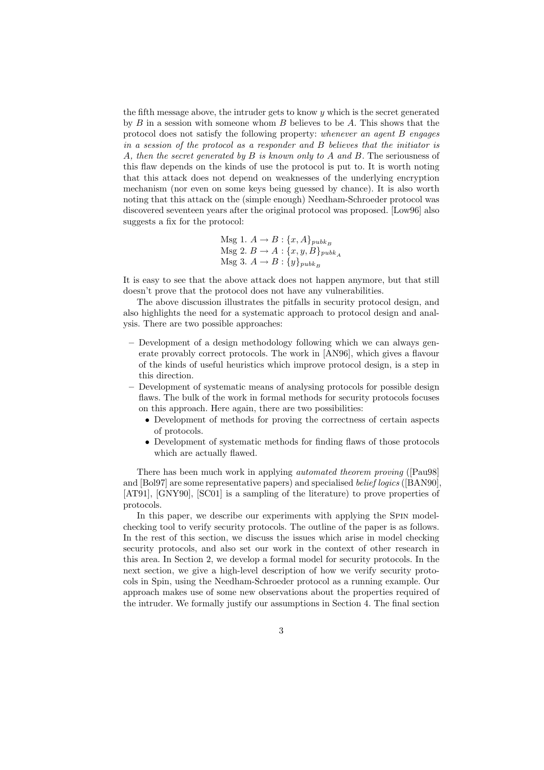the fifth message above, the intruder gets to know  $y$  which is the secret generated by  $B$  in a session with someone whom  $B$  believes to be  $A$ . This shows that the protocol does not satisfy the following property: whenever an agent B engages in a session of the protocol as a responder and B believes that the initiator is A, then the secret generated by B is known only to A and B. The seriousness of this flaw depends on the kinds of use the protocol is put to. It is worth noting that this attack does not depend on weaknesses of the underlying encryption mechanism (nor even on some keys being guessed by chance). It is also worth noting that this attack on the (simple enough) Needham-Schroeder protocol was discovered seventeen years after the original protocol was proposed. [Low96] also suggests a fix for the protocol:

$$
\begin{aligned} \text{Msg 1. } A &\rightarrow B: \{x, A\}_{pubk_B} \\ \text{Msg 2. } B &\rightarrow A: \{x, y, B\}_{pubk_A} \\ \text{Msg 3. } A &\rightarrow B: \{y\}_{pubk_B} \end{aligned}
$$

It is easy to see that the above attack does not happen anymore, but that still doesn't prove that the protocol does not have any vulnerabilities.

The above discussion illustrates the pitfalls in security protocol design, and also highlights the need for a systematic approach to protocol design and analysis. There are two possible approaches:

- Development of a design methodology following which we can always generate provably correct protocols. The work in [AN96], which gives a flavour of the kinds of useful heuristics which improve protocol design, is a step in this direction.
- Development of systematic means of analysing protocols for possible design flaws. The bulk of the work in formal methods for security protocols focuses on this approach. Here again, there are two possibilities:
	- Development of methods for proving the correctness of certain aspects of protocols.
	- Development of systematic methods for finding flaws of those protocols which are actually flawed.

There has been much work in applying automated theorem proving ([Pau98] and [Bol97] are some representative papers) and specialised belief logics ([BAN90], [AT91], [GNY90], [SC01] is a sampling of the literature) to prove properties of protocols.

In this paper, we describe our experiments with applying the Spin modelchecking tool to verify security protocols. The outline of the paper is as follows. In the rest of this section, we discuss the issues which arise in model checking security protocols, and also set our work in the context of other research in this area. In Section 2, we develop a formal model for security protocols. In the next section, we give a high-level description of how we verify security protocols in Spin, using the Needham-Schroeder protocol as a running example. Our approach makes use of some new observations about the properties required of the intruder. We formally justify our assumptions in Section 4. The final section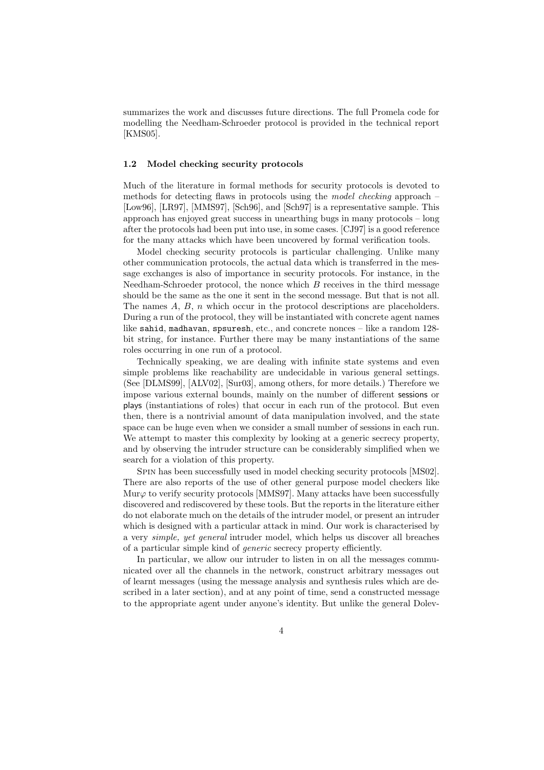summarizes the work and discusses future directions. The full Promela code for modelling the Needham-Schroeder protocol is provided in the technical report [KMS05].

### 1.2 Model checking security protocols

Much of the literature in formal methods for security protocols is devoted to methods for detecting flaws in protocols using the model checking approach – [Low96], [LR97], [MMS97], [Sch96], and [Sch97] is a representative sample. This approach has enjoyed great success in unearthing bugs in many protocols – long after the protocols had been put into use, in some cases. [CJ97] is a good reference for the many attacks which have been uncovered by formal verification tools.

Model checking security protocols is particular challenging. Unlike many other communication protocols, the actual data which is transferred in the message exchanges is also of importance in security protocols. For instance, in the Needham-Schroeder protocol, the nonce which  $B$  receives in the third message should be the same as the one it sent in the second message. But that is not all. The names  $A, B, n$  which occur in the protocol descriptions are placeholders. During a run of the protocol, they will be instantiated with concrete agent names like sahid, madhavan, spsuresh, etc., and concrete nonces – like a random 128 bit string, for instance. Further there may be many instantiations of the same roles occurring in one run of a protocol.

Technically speaking, we are dealing with infinite state systems and even simple problems like reachability are undecidable in various general settings. (See [DLMS99], [ALV02], [Sur03], among others, for more details.) Therefore we impose various external bounds, mainly on the number of different sessions or plays (instantiations of roles) that occur in each run of the protocol. But even then, there is a nontrivial amount of data manipulation involved, and the state space can be huge even when we consider a small number of sessions in each run. We attempt to master this complexity by looking at a generic secrecy property, and by observing the intruder structure can be considerably simplified when we search for a violation of this property.

Spin has been successfully used in model checking security protocols [MS02]. There are also reports of the use of other general purpose model checkers like Mur $\varphi$  to verify security protocols [MMS97]. Many attacks have been successfully discovered and rediscovered by these tools. But the reports in the literature either do not elaborate much on the details of the intruder model, or present an intruder which is designed with a particular attack in mind. Our work is characterised by a very simple, yet general intruder model, which helps us discover all breaches of a particular simple kind of generic secrecy property efficiently.

In particular, we allow our intruder to listen in on all the messages communicated over all the channels in the network, construct arbitrary messages out of learnt messages (using the message analysis and synthesis rules which are described in a later section), and at any point of time, send a constructed message to the appropriate agent under anyone's identity. But unlike the general Dolev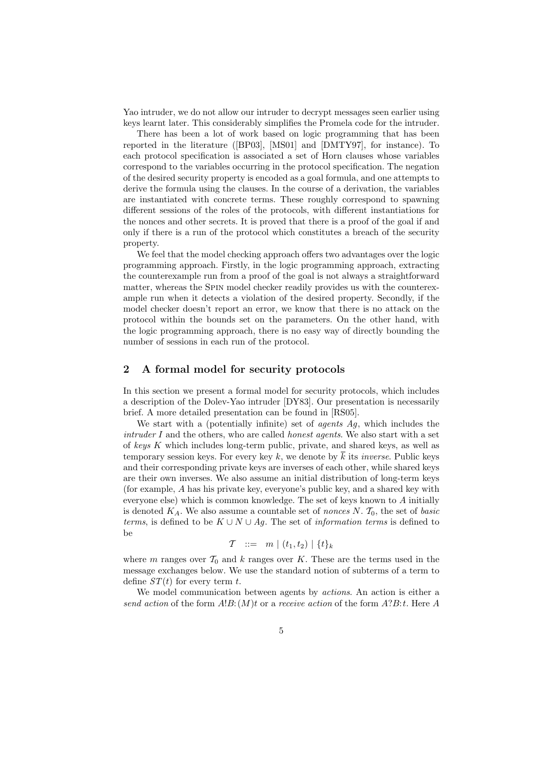Yao intruder, we do not allow our intruder to decrypt messages seen earlier using keys learnt later. This considerably simplifies the Promela code for the intruder.

There has been a lot of work based on logic programming that has been reported in the literature ([BP03], [MS01] and [DMTY97], for instance). To each protocol specification is associated a set of Horn clauses whose variables correspond to the variables occurring in the protocol specification. The negation of the desired security property is encoded as a goal formula, and one attempts to derive the formula using the clauses. In the course of a derivation, the variables are instantiated with concrete terms. These roughly correspond to spawning different sessions of the roles of the protocols, with different instantiations for the nonces and other secrets. It is proved that there is a proof of the goal if and only if there is a run of the protocol which constitutes a breach of the security property.

We feel that the model checking approach offers two advantages over the logic programming approach. Firstly, in the logic programming approach, extracting the counterexample run from a proof of the goal is not always a straightforward matter, whereas the Spin model checker readily provides us with the counterexample run when it detects a violation of the desired property. Secondly, if the model checker doesn't report an error, we know that there is no attack on the protocol within the bounds set on the parameters. On the other hand, with the logic programming approach, there is no easy way of directly bounding the number of sessions in each run of the protocol.

### 2 A formal model for security protocols

In this section we present a formal model for security protocols, which includes a description of the Dolev-Yao intruder [DY83]. Our presentation is necessarily brief. A more detailed presentation can be found in [RS05].

We start with a (potentially infinite) set of *agents Ag*, which includes the  $intruder I$  and the others, who are called *honest agents*. We also start with a set of keys K which includes long-term public, private, and shared keys, as well as temporary session keys. For every key k, we denote by  $\overline{k}$  its *inverse*. Public keys and their corresponding private keys are inverses of each other, while shared keys are their own inverses. We also assume an initial distribution of long-term keys (for example, A has his private key, everyone's public key, and a shared key with everyone else) which is common knowledge. The set of keys known to  $A$  initially is denoted  $K_A$ . We also assume a countable set of nonces N.  $\mathcal{T}_0$ , the set of basic terms, is defined to be  $K \cup N \cup Ag$ . The set of *information terms* is defined to be

$$
\mathcal{T} \ ::= \ m \mid (t_1, t_2) \mid \{t\}_k
$$

where m ranges over  $\mathcal{T}_0$  and k ranges over K. These are the terms used in the message exchanges below. We use the standard notion of subterms of a term to define  $ST(t)$  for every term t.

We model communication between agents by actions. An action is either a send action of the form  $A!B:(M)t$  or a receive action of the form  $A?B:t$ . Here A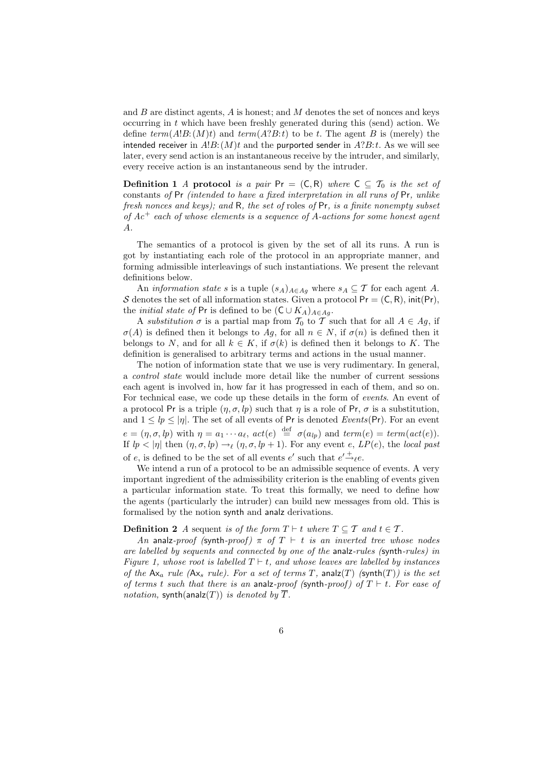and  $B$  are distinct agents,  $A$  is honest; and  $M$  denotes the set of nonces and keys occurring in t which have been freshly generated during this (send) action. We define  $term(A!B:(M)t)$  and  $term(A?B:t)$  to be t. The agent B is (merely) the intended receiver in  $A!B:(M)t$  and the purported sender in  $A?B:t$ . As we will see later, every send action is an instantaneous receive by the intruder, and similarly, every receive action is an instantaneous send by the intruder.

**Definition 1** A protocol is a pair Pr =  $(C, R)$  where  $C \subseteq T_0$  is the set of constants of Pr (intended to have a fixed interpretation in all runs of Pr, unlike fresh nonces and keys); and R, the set of roles of Pr, is a finite nonempty subset of  $Ac^+$  each of whose elements is a sequence of A-actions for some honest agent A.

The semantics of a protocol is given by the set of all its runs. A run is got by instantiating each role of the protocol in an appropriate manner, and forming admissible interleavings of such instantiations. We present the relevant definitions below.

An *information state s* is a tuple  $(s_A)_{A \in A_g}$  where  $s_A \subseteq \mathcal{T}$  for each agent A. S denotes the set of all information states. Given a protocol  $Pr = (C, R)$ , init(Pr), the *initial state of* Pr is defined to be  $(C \cup K_A)_{A \in A_q}$ .

A substitution  $\sigma$  is a partial map from  $\mathcal{T}_0$  to  $\mathcal{T}$  such that for all  $A \in Ag$ , if  $\sigma(A)$  is defined then it belongs to Ag, for all  $n \in N$ , if  $\sigma(n)$  is defined then it belongs to N, and for all  $k \in K$ , if  $\sigma(k)$  is defined then it belongs to K. The definition is generalised to arbitrary terms and actions in the usual manner.

The notion of information state that we use is very rudimentary. In general, a control state would include more detail like the number of current sessions each agent is involved in, how far it has progressed in each of them, and so on. For technical ease, we code up these details in the form of events. An event of a protocol Pr is a triple  $(\eta, \sigma, lp)$  such that  $\eta$  is a role of Pr,  $\sigma$  is a substitution, and  $1 \leq lp \leq |\eta|$ . The set of all events of Pr is denoted Events(Pr). For an event  $e = (\eta, \sigma, lp)$  with  $\eta = a_1 \cdots a_\ell$ ,  $act(e) \stackrel{\text{def}}{=} \sigma(a_{lp})$  and  $term(e) = term(act(e)).$ If  $lp < |\eta|$  then  $(\eta, \sigma, lp) \rightarrow_{\ell} (\eta, \sigma, lp + 1)$ . For any event e,  $LP(e)$ , the local past of e, is defined to be the set of all events  $e'$  such that  $e' \stackrel{+}{\rightarrow} e$ .

We intend a run of a protocol to be an admissible sequence of events. A very important ingredient of the admissibility criterion is the enabling of events given a particular information state. To treat this formally, we need to define how the agents (particularly the intruder) can build new messages from old. This is formalised by the notion synth and analz derivations.

**Definition 2** A sequent is of the form  $T \vdash t$  where  $T \subseteq T$  and  $t \in T$ .

An analz-proof (synth-proof)  $\pi$  of  $T \vdash t$  is an inverted tree whose nodes are labelled by sequents and connected by one of the analz-rules (synth-rules) in Figure 1, whose root is labelled  $T \vdash t$ , and whose leaves are labelled by instances of the  $Ax_a$  rule ( $Ax_s$  rule). For a set of terms T, analz(T) (synth(T)) is the set of terms t such that there is an analz-proof (synth-proof) of  $T \vdash t$ . For ease of notation, synth(analz(T)) is denoted by  $\overline{T}$ .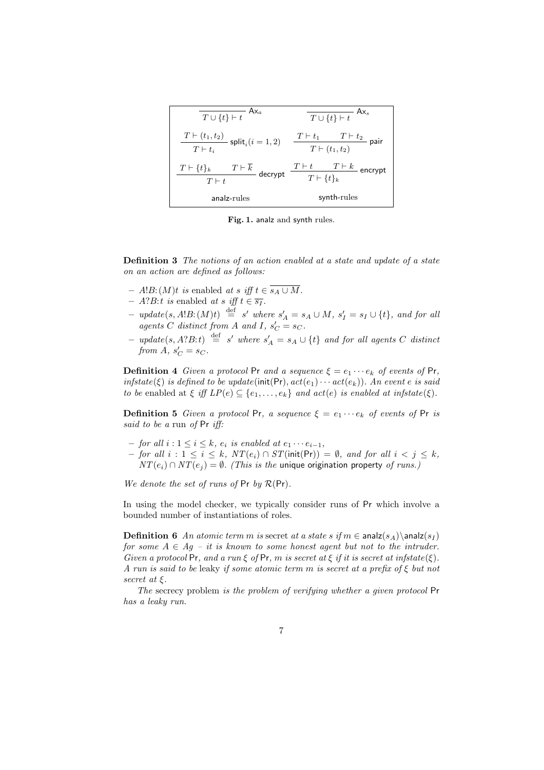| $T \cup \{t\} \vdash t$                                                | $\overline{T \cup \{t\} \vdash t}$ Ax <sub>s</sub>                                                                        |
|------------------------------------------------------------------------|---------------------------------------------------------------------------------------------------------------------------|
| $T \vdash (t_1, t_2)$ split <sub>i</sub> $(i = 1, 2)$<br>$T\vdash t_i$ | $\frac{T\vdash t_1\qquad T\vdash t_2}{T\vdash (t_1,t_2)}$ pair                                                            |
| $T \vdash \{t\}_k$<br>$T \vdash t$                                     | $\frac{T \vdash \overline{k}}{t} \text{ decrypt } \frac{T \vdash t \qquad T \vdash k}{T \vdash \{t\}_k} \text{ encrypt }$ |
| analz-rules                                                            | synth-rules                                                                                                               |

Fig. 1. analz and synth rules.

Definition 3 The notions of an action enabled at a state and update of a state on an action are defined as follows:

- A!B: (M)t is enabled at s iff  $t \in s_A ∪ M$ .
- $A?B:t$  is enabled at s iff  $t \in \overline{s_I}$ .
- $update(s, A!B: (M)t) \stackrel{\text{def}}{=} s' where s'_{A} = s_{A} \cup M, s'_{I} = s_{I} \cup \{t\}, and for all$ agents C distinct from A and I,  $s_C' = s_C$ .
- $-$  update(s, A?B:t)  $\stackrel{\text{def}}{=}$  s' where  $s'_{A} = s_{A} \cup \{t\}$  and for all agents C distinct from  $A, s_C' = s_C$ .

**Definition 4** Given a protocol Pr and a sequence  $\xi = e_1 \cdots e_k$  of events of Pr, infstate( $\xi$ ) is defined to be update(init(Pr),  $act(e_1) \cdots act(e_k)$ ). An event e is said to be enabled at  $\xi$  iff  $LP(e) \subseteq \{e_1, \ldots, e_k\}$  and  $act(e)$  is enabled at infstate( $\xi$ ).

**Definition 5** Given a protocol Pr, a sequence  $\xi = e_1 \cdots e_k$  of events of Pr is said to be a run of Pr iff:

- $−$  for all  $i : 1 \leq i \leq k$ ,  $e_i$  is enabled at  $e_1 \cdots e_{i-1}$ ,
- $-$  for all  $i: 1 \le i \le k$ ,  $NT(e_i) ∩ ST(int(Pr)) = ∅$ , and for all  $i < j \le k$ ,  $NT(e_i) \cap NT(e_j) = \emptyset$ . (This is the unique origination property of runs.)

We denote the set of runs of  $Pr$  by  $\mathcal{R}(Pr)$ .

In using the model checker, we typically consider runs of Pr which involve a bounded number of instantiations of roles.

**Definition 6** An atomic term m is secret at a state s if  $m \in \text{anal}(s_A) \setminus \text{anal}(s_I)$ for some  $A \in Ag - it$  is known to some honest agent but not to the intruder. Given a protocol Pr, and a run  $\xi$  of Pr, m is secret at  $\xi$  if it is secret at infstate( $\xi$ ). A run is said to be leaky if some atomic term m is secret at a prefix of  $\xi$  but not secret at ξ.

The secrecy problem is the problem of verifying whether a given protocol Pr has a leaky run.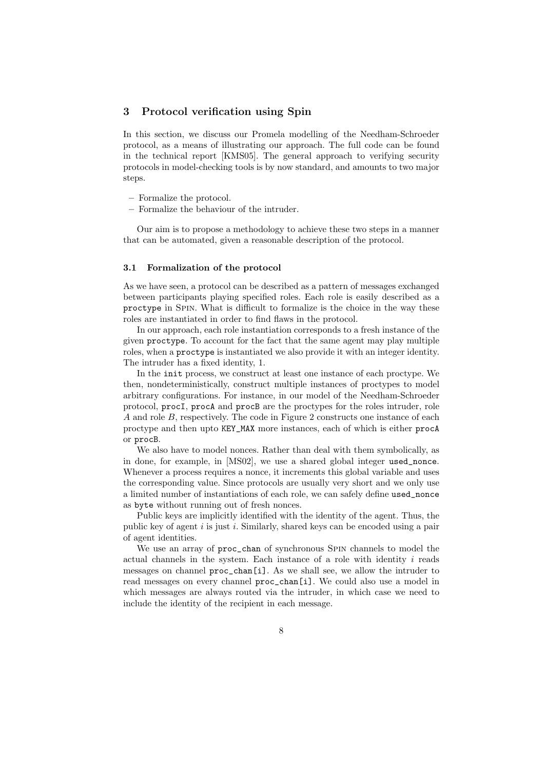### 3 Protocol verification using Spin

In this section, we discuss our Promela modelling of the Needham-Schroeder protocol, as a means of illustrating our approach. The full code can be found in the technical report [KMS05]. The general approach to verifying security protocols in model-checking tools is by now standard, and amounts to two major steps.

- Formalize the protocol.
- Formalize the behaviour of the intruder.

Our aim is to propose a methodology to achieve these two steps in a manner that can be automated, given a reasonable description of the protocol.

#### 3.1 Formalization of the protocol

As we have seen, a protocol can be described as a pattern of messages exchanged between participants playing specified roles. Each role is easily described as a proctype in Spin. What is difficult to formalize is the choice in the way these roles are instantiated in order to find flaws in the protocol.

In our approach, each role instantiation corresponds to a fresh instance of the given proctype. To account for the fact that the same agent may play multiple roles, when a proctype is instantiated we also provide it with an integer identity. The intruder has a fixed identity, 1.

In the init process, we construct at least one instance of each proctype. We then, nondeterministically, construct multiple instances of proctypes to model arbitrary configurations. For instance, in our model of the Needham-Schroeder protocol, procI, procA and procB are the proctypes for the roles intruder, role A and role B, respectively. The code in Figure 2 constructs one instance of each proctype and then upto KEY\_MAX more instances, each of which is either procA or procB.

We also have to model nonces. Rather than deal with them symbolically, as in done, for example, in [MS02], we use a shared global integer used\_nonce. Whenever a process requires a nonce, it increments this global variable and uses the corresponding value. Since protocols are usually very short and we only use a limited number of instantiations of each role, we can safely define used\_nonce as byte without running out of fresh nonces.

Public keys are implicitly identified with the identity of the agent. Thus, the public key of agent  $i$  is just  $i$ . Similarly, shared keys can be encoded using a pair of agent identities.

We use an array of proc\_chan of synchronous SPIN channels to model the actual channels in the system. Each instance of a role with identity  $i$  reads messages on channel proc\_chan[i]. As we shall see, we allow the intruder to read messages on every channel proc\_chan[i]. We could also use a model in which messages are always routed via the intruder, in which case we need to include the identity of the recipient in each message.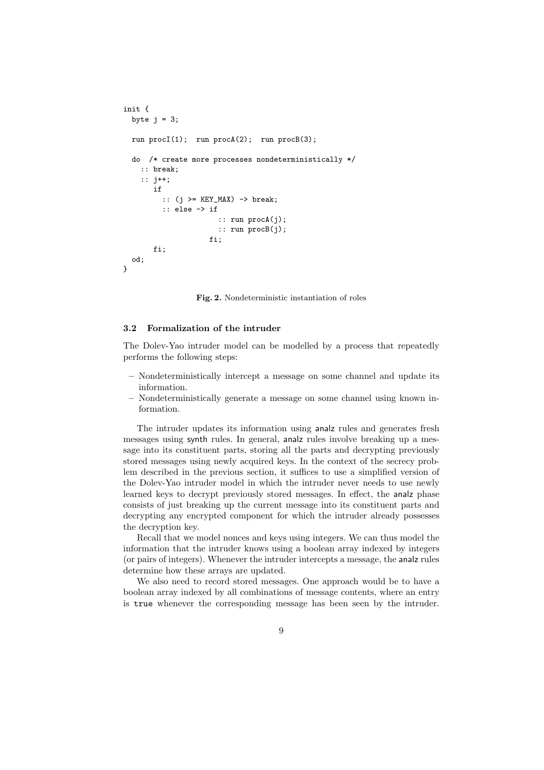```
init {
 byte j = 3;
 run procI(1); run procA(2); run procB(3);
  do /* create more processes nondeterministically */
    :: break;
    :: j++;
       if
         :: (j >= KEY_MAX) -> break;
         :: else -> if
                      :: run procA(j);
                      :: run procB(j);
                    fi.
       fi;
 od;
}
```
Fig. 2. Nondeterministic instantiation of roles

#### 3.2 Formalization of the intruder

The Dolev-Yao intruder model can be modelled by a process that repeatedly performs the following steps:

- Nondeterministically intercept a message on some channel and update its information.
- Nondeterministically generate a message on some channel using known information.

The intruder updates its information using analz rules and generates fresh messages using synth rules. In general, analz rules involve breaking up a message into its constituent parts, storing all the parts and decrypting previously stored messages using newly acquired keys. In the context of the secrecy problem described in the previous section, it suffices to use a simplified version of the Dolev-Yao intruder model in which the intruder never needs to use newly learned keys to decrypt previously stored messages. In effect, the analz phase consists of just breaking up the current message into its constituent parts and decrypting any encrypted component for which the intruder already possesses the decryption key.

Recall that we model nonces and keys using integers. We can thus model the information that the intruder knows using a boolean array indexed by integers (or pairs of integers). Whenever the intruder intercepts a message, the analz rules determine how these arrays are updated.

We also need to record stored messages. One approach would be to have a boolean array indexed by all combinations of message contents, where an entry is true whenever the corresponding message has been seen by the intruder.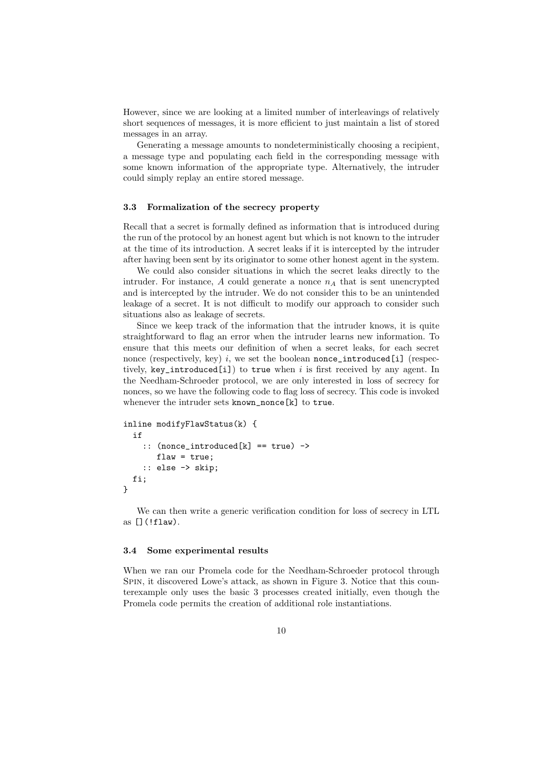However, since we are looking at a limited number of interleavings of relatively short sequences of messages, it is more efficient to just maintain a list of stored messages in an array.

Generating a message amounts to nondeterministically choosing a recipient, a message type and populating each field in the corresponding message with some known information of the appropriate type. Alternatively, the intruder could simply replay an entire stored message.

### 3.3 Formalization of the secrecy property

Recall that a secret is formally defined as information that is introduced during the run of the protocol by an honest agent but which is not known to the intruder at the time of its introduction. A secret leaks if it is intercepted by the intruder after having been sent by its originator to some other honest agent in the system.

We could also consider situations in which the secret leaks directly to the intruder. For instance, A could generate a nonce  $n_A$  that is sent unencrypted and is intercepted by the intruder. We do not consider this to be an unintended leakage of a secret. It is not difficult to modify our approach to consider such situations also as leakage of secrets.

Since we keep track of the information that the intruder knows, it is quite straightforward to flag an error when the intruder learns new information. To ensure that this meets our definition of when a secret leaks, for each secret nonce (respectively, key) i, we set the boolean nonce\_introduced[i] (respectively, key introduced [i]) to true when i is first received by any agent. In the Needham-Schroeder protocol, we are only interested in loss of secrecy for nonces, so we have the following code to flag loss of secrecy. This code is invoked whenever the intruder sets known\_nonce[k] to true.

```
inline modifyFlawStatus(k) {
  if
    :: (nonce_introduced[k] == true) ->
       flaw = true:
    :: else -> skip;
  fi;
}
```
We can then write a generic verification condition for loss of secrecy in LTL as  $\lceil \cdot | f \cdot \text{law} \rceil$ .

#### 3.4 Some experimental results

When we ran our Promela code for the Needham-Schroeder protocol through Spin, it discovered Lowe's attack, as shown in Figure 3. Notice that this counterexample only uses the basic 3 processes created initially, even though the Promela code permits the creation of additional role instantiations.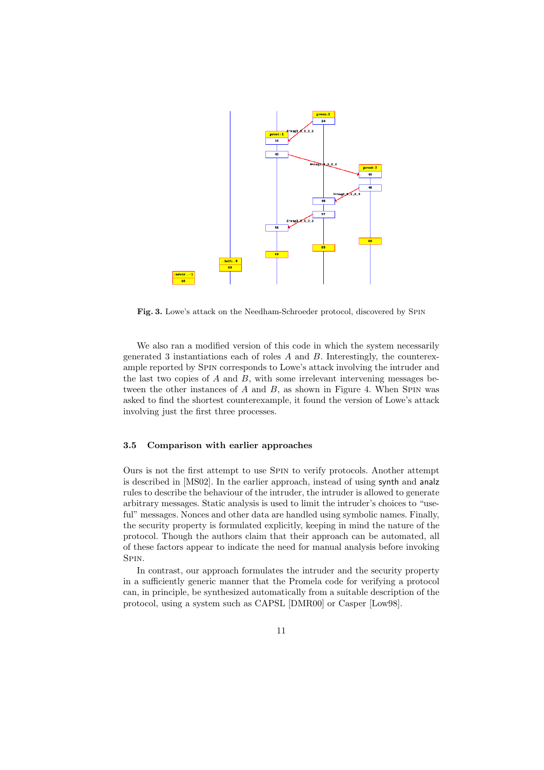

Fig. 3. Lowe's attack on the Needham-Schroeder protocol, discovered by Spin

We also ran a modified version of this code in which the system necessarily generated 3 instantiations each of roles  $A$  and  $B$ . Interestingly, the counterexample reported by Spin corresponds to Lowe's attack involving the intruder and the last two copies of  $A$  and  $B$ , with some irrelevant intervening messages between the other instances of  $A$  and  $B$ , as shown in Figure 4. When SPIN was asked to find the shortest counterexample, it found the version of Lowe's attack involving just the first three processes.

#### 3.5 Comparison with earlier approaches

Ours is not the first attempt to use Spin to verify protocols. Another attempt is described in [MS02]. In the earlier approach, instead of using synth and analz rules to describe the behaviour of the intruder, the intruder is allowed to generate arbitrary messages. Static analysis is used to limit the intruder's choices to "useful" messages. Nonces and other data are handled using symbolic names. Finally, the security property is formulated explicitly, keeping in mind the nature of the protocol. Though the authors claim that their approach can be automated, all of these factors appear to indicate the need for manual analysis before invoking Spin.

In contrast, our approach formulates the intruder and the security property in a sufficiently generic manner that the Promela code for verifying a protocol can, in principle, be synthesized automatically from a suitable description of the protocol, using a system such as CAPSL [DMR00] or Casper [Low98].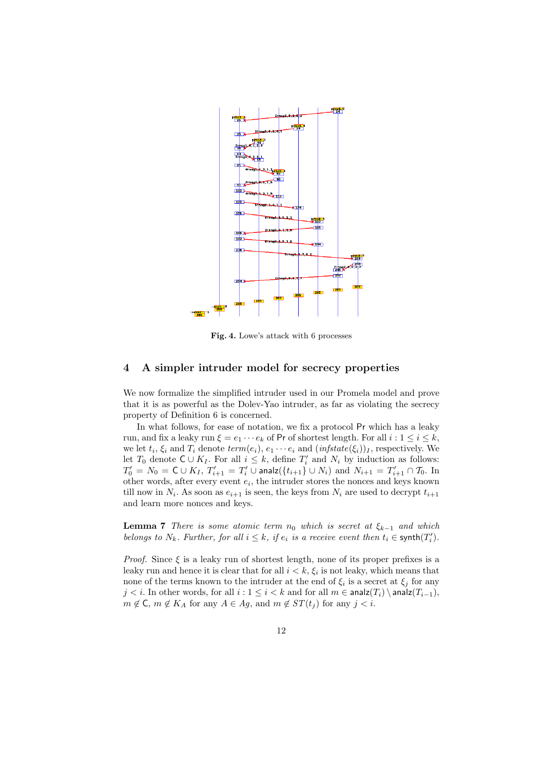

Fig. 4. Lowe's attack with 6 processes

# 4 A simpler intruder model for secrecy properties

We now formalize the simplified intruder used in our Promela model and prove that it is as powerful as the Dolev-Yao intruder, as far as violating the secrecy property of Definition 6 is concerned.

In what follows, for ease of notation, we fix a protocol Pr which has a leaky run, and fix a leaky run  $\xi = e_1 \cdots e_k$  of Pr of shortest length. For all  $i : 1 \le i \le k$ , we let  $t_i$ ,  $\xi_i$  and  $T_i$  denote  $term(e_i)$ ,  $e_1 \cdots e_i$  and  $(infstate(\xi_i))_I$ , respectively. We let  $T_0$  denote  $C \cup K_I$ . For all  $i \leq k$ , define  $T_i'$  and  $N_i$  by induction as follows:  $T_0'=N_0=\mathsf{C}\cup K_I,$   $T_{i+1}'=T_i'\cup$  analz $(\{t_{i+1}\}\cup N_i)$  and  $N_{i+1}=T_{i+1}'\cap T_0.$  In other words, after every event  $e_i$ , the intruder stores the nonces and keys known till now in  $N_i$ . As soon as  $e_{i+1}$  is seen, the keys from  $N_i$  are used to decrypt  $t_{i+1}$ and learn more nonces and keys.

**Lemma 7** There is some atomic term  $n_0$  which is secret at  $\xi_{k-1}$  and which belongs to  $N_k$ . Further, for all  $i \leq k$ , if  $e_i$  is a receive event then  $t_i \in \text{synth}(T_i')$ .

*Proof.* Since  $\xi$  is a leaky run of shortest length, none of its proper prefixes is a leaky run and hence it is clear that for all  $i < k$ ,  $\xi_i$  is not leaky, which means that none of the terms known to the intruder at the end of  $\xi_i$  is a secret at  $\xi_j$  for any  $j < i$ . In other words, for all  $i : 1 \le i < k$  and for all  $m \in \text{analz}(T_i) \setminus \text{analz}(T_{i-1}),$  $m \notin \mathsf{C}$ ,  $m \notin K_A$  for any  $A \in Ag$ , and  $m \notin ST(t_i)$  for any  $j < i$ .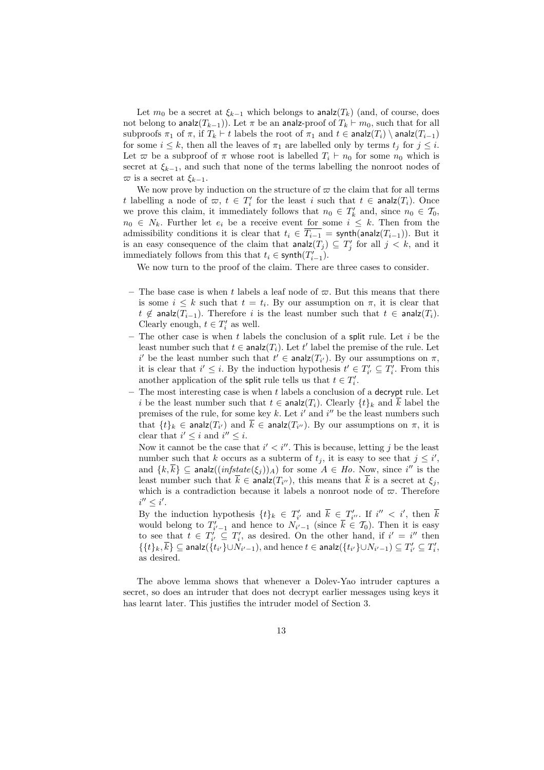Let  $m_0$  be a secret at  $\xi_{k-1}$  which belongs to analz(T<sub>k</sub>) (and, of course, does not belong to analz $(T_{k-1})$ ). Let  $\pi$  be an analz-proof of  $T_k \vdash m_0$ , such that for all subproofs  $\pi_1$  of  $\pi$ , if  $T_k \vdash t$  labels the root of  $\pi_1$  and  $t \in \text{analz}(T_i) \setminus \text{analz}(T_{i-1})$ for some  $i \leq k$ , then all the leaves of  $\pi_1$  are labelled only by terms  $t_j$  for  $j \leq i$ . Let  $\varpi$  be a subproof of  $\pi$  whose root is labelled  $T_i \vdash n_0$  for some  $n_0$  which is secret at  $\xi_{k-1}$ , and such that none of the terms labelling the nonroot nodes of  $\overline{\omega}$  is a secret at  $\xi_{k-1}$ .

We now prove by induction on the structure of  $\varpi$  the claim that for all terms t labelling a node of  $\varpi$ ,  $t \in T'_i$  for the least i such that  $t \in \text{analz}(T_i)$ . Once we prove this claim, it immediately follows that  $n_0 \in T'_k$  and, since  $n_0 \in T_0$ ,  $n_0 \in N_k$ . Further let  $e_i$  be a receive event for some  $i \leq k$ . Then from the admissibility conditions it is clear that  $t_i \in T_{i-1} = \text{synth}(\text{analz}(T_{i-1}))$ . But it is an easy consequence of the claim that  $\text{analz}(T_j) \subseteq T'_j$  for all  $j < k$ , and it immediately follows from this that  $t_i \in \text{synth}(T'_{i-1})$ .

We now turn to the proof of the claim. There are three cases to consider.

- The base case is when t labels a leaf node of  $\varpi$ . But this means that there is some  $i \leq k$  such that  $t = t_i$ . By our assumption on  $\pi$ , it is clear that  $t \notin \textsf{analz}(T_{i-1})$ . Therefore i is the least number such that  $t \in \textsf{analz}(T_i)$ . Clearly enough,  $t \in T'_i$  as well.
- The other case is when t labels the conclusion of a split rule. Let  $i$  be the least number such that  $t \in \text{analz}(T_i)$ . Let  $t'$  label the premise of the rule. Let i' be the least number such that  $t' \in \text{analz}(T_{i'})$ . By our assumptions on  $\pi$ , it is clear that  $i' \leq i$ . By the induction hypothesis  $t' \in T'_{i'} \subseteq T'_{i}$ . From this another application of the split rule tells us that  $t \in T_i'$ .
- The most interesting case is when t labels a conclusion of a decrypt rule. Let i be the least number such that  $t \in \text{analz}(T_i)$ . Clearly  $\{t\}_k$  and  $\overline{k}$  label the premises of the rule, for some key k. Let  $i'$  and  $i''$  be the least numbers such that  $\{t\}_k \in \text{analz}(T_{i'})$  and  $k \in \text{analz}(T_{i''})$ . By our assumptions on  $\pi$ , it is clear that  $i' \leq i$  and  $i'' \leq i$ .

Now it cannot be the case that  $i' < i''$ . This is because, letting j be the least number such that k occurs as a subterm of  $t_j$ , it is easy to see that  $j \leq i'$ , and  $\{k,\overline{k}\}\subseteq \mathsf{analz}((\mathit{infstate}(\xi_j))_A)$  for some  $A \in Ho$ . Now, since  $i''$  is the least number such that  $k \in \text{analz}(T_{i''})$ , this means that k is a secret at  $\xi_j$ , which is a contradiction because it labels a nonroot node of  $\varpi$ . Therefore  $i'' \leq i'.$ 

By the induction hypothesis  $\{t\}_k \in T'_{i'}$  and  $\overline{k} \in T'_{i''}$ . If  $i'' < i'$ , then  $\overline{k}$ would belong to  $T'_{i'-1}$  and hence to  $N_{i'-1}$  (since  $\overline{k} \in \mathcal{T}_0$ ). Then it is easy to see that  $t \in T'_{i'} \subseteq T'_{i}$ , as desired. On the other hand, if  $i' = i''$  then  $\{\{t\}_k,\overline{k}\}\subseteq \mathsf{analz}(\{t_{i'}\}\cup N_{i'-1}),$  and hence  $t\in \mathsf{analz}(\{t_{i'}\}\cup N_{i'-1})\subseteq T'_{i'}\subseteq T'_{i},$ as desired.

The above lemma shows that whenever a Dolev-Yao intruder captures a secret, so does an intruder that does not decrypt earlier messages using keys it has learnt later. This justifies the intruder model of Section 3.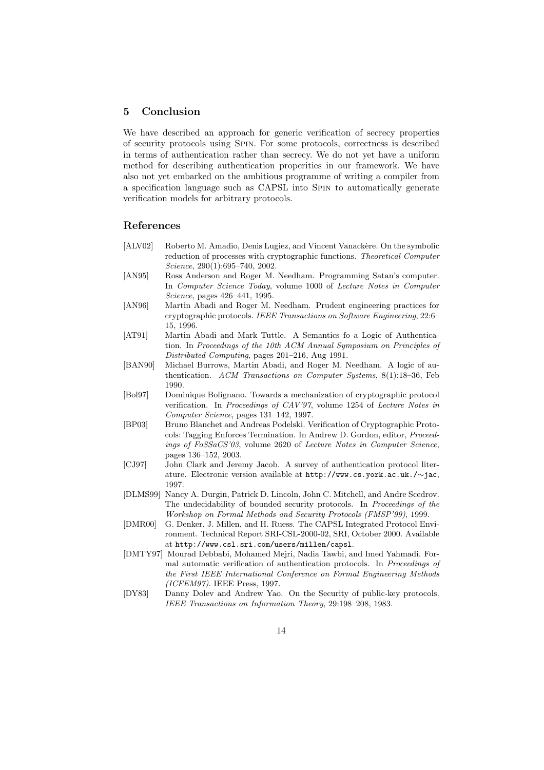# 5 Conclusion

We have described an approach for generic verification of secrecy properties of security protocols using Spin. For some protocols, correctness is described in terms of authentication rather than secrecy. We do not yet have a uniform method for describing authentication properities in our framework. We have also not yet embarked on the ambitious programme of writing a compiler from a specification language such as CAPSL into Spin to automatically generate verification models for arbitrary protocols.

## References

- [ALV02] Roberto M. Amadio, Denis Lugiez, and Vincent Vanackère. On the symbolic reduction of processes with cryptographic functions. Theoretical Computer Science, 290(1):695-740, 2002.
- [AN95] Ross Anderson and Roger M. Needham. Programming Satan's computer. In Computer Science Today, volume 1000 of Lecture Notes in Computer Science, pages 426–441, 1995.
- [AN96] Martin Abadi and Roger M. Needham. Prudent engineering practices for cryptographic protocols. IEEE Transactions on Software Engineering, 22:6– 15, 1996.
- [AT91] Martin Abadi and Mark Tuttle. A Semantics fo a Logic of Authentication. In Proceedings of the 10th ACM Annual Symposium on Principles of Distributed Computing, pages 201–216, Aug 1991.
- [BAN90] Michael Burrows, Martin Abadi, and Roger M. Needham. A logic of authentication. ACM Transactions on Computer Systems, 8(1):18–36, Feb 1990.
- [Bol97] Dominique Bolignano. Towards a mechanization of cryptographic protocol verification. In Proceedings of CAV'97, volume 1254 of Lecture Notes in Computer Science, pages 131–142, 1997.
- [BP03] Bruno Blanchet and Andreas Podelski. Verification of Cryptographic Protocols: Tagging Enforces Termination. In Andrew D. Gordon, editor, Proceedings of FoSSaCS'03, volume 2620 of Lecture Notes in Computer Science, pages 136–152, 2003.
- [CJ97] John Clark and Jeremy Jacob. A survey of authentication protocol literature. Electronic version available at http://www.cs.york.ac.uk./∼jac, 1997.
- [DLMS99] Nancy A. Durgin, Patrick D. Lincoln, John C. Mitchell, and Andre Scedrov. The undecidability of bounded security protocols. In Proceedings of the Workshop on Formal Methods and Security Protocols (FMSP'99), 1999.
- [DMR00] G. Denker, J. Millen, and H. Ruess. The CAPSL Integrated Protocol Environment. Technical Report SRI-CSL-2000-02, SRI, October 2000. Available at http://www.csl.sri.com/users/millen/capsl.
- [DMTY97] Mourad Debbabi, Mohamed Mejri, Nadia Tawbi, and Imed Yahmadi. Formal automatic verification of authentication protocols. In Proceedings of the First IEEE International Conference on Formal Engineering Methods (ICFEM97). IEEE Press, 1997.
- [DY83] Danny Dolev and Andrew Yao. On the Security of public-key protocols. IEEE Transactions on Information Theory, 29:198–208, 1983.